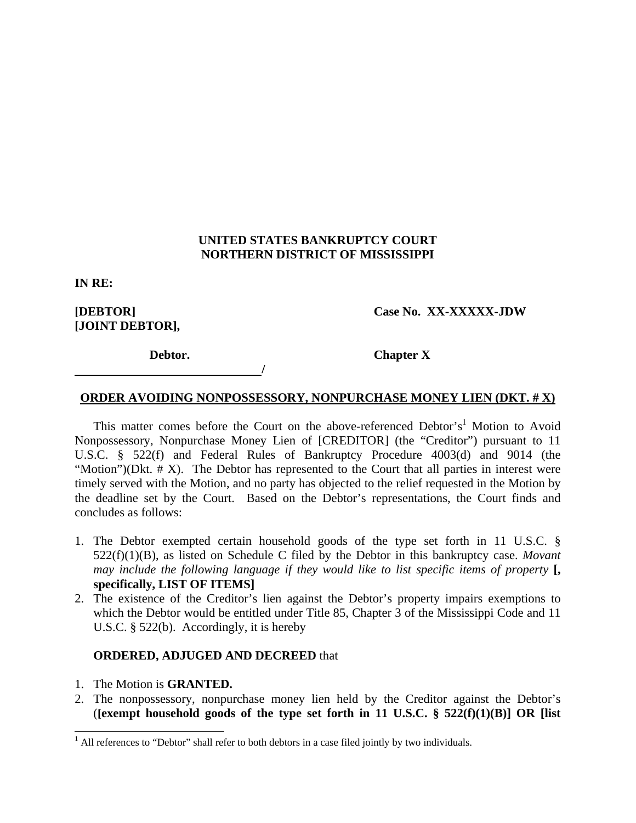## **UNITED STATES BANKRUPTCY COURT NORTHERN DISTRICT OF MISSISSIPPI**

**IN RE:** 

**[JOINT DEBTOR],** 

**[DEBTOR] Case No. XX-XXXXX-JDW** 

*<i> /*  $\frac{1}{2}$  //  $\frac{1}{2}$  //

**Debtor.** Chapter X

## **ORDER AVOIDING NONPOSSESSORY, NONPURCHASE MONEY LIEN (DKT. # X)**

This matter comes before the Court on the above-referenced Debtor's<sup>1</sup> Motion to Avoid Nonpossessory, Nonpurchase Money Lien of [CREDITOR] (the "Creditor") pursuant to 11 U.S.C. § 522(f) and Federal Rules of Bankruptcy Procedure 4003(d) and 9014 (the "Motion")(Dkt.  $# X$ ). The Debtor has represented to the Court that all parties in interest were timely served with the Motion, and no party has objected to the relief requested in the Motion by the deadline set by the Court. Based on the Debtor's representations, the Court finds and concludes as follows:

- 1. The Debtor exempted certain household goods of the type set forth in 11 U.S.C. § 522(f)(1)(B), as listed on Schedule C filed by the Debtor in this bankruptcy case. *Movant may include the following language if they would like to list specific items of property*  $\mathbf{I}$ . **specifically, LIST OF ITEMS]**
- 2. The existence of the Creditor's lien against the Debtor's property impairs exemptions to which the Debtor would be entitled under Title 85, Chapter 3 of the Mississippi Code and 11 U.S.C. § 522(b). Accordingly, it is hereby

## **ORDERED, ADJUGED AND DECREED** that

- 1. The Motion is **GRANTED.**
- 2. The nonpossessory, nonpurchase money lien held by the Creditor against the Debtor's (**[exempt household goods of the type set forth in 11 U.S.C. § 522(f)(1)(B)] OR [list**

<sup>&</sup>lt;sup>1</sup> All references to "Debtor" shall refer to both debtors in a case filed jointly by two individuals.